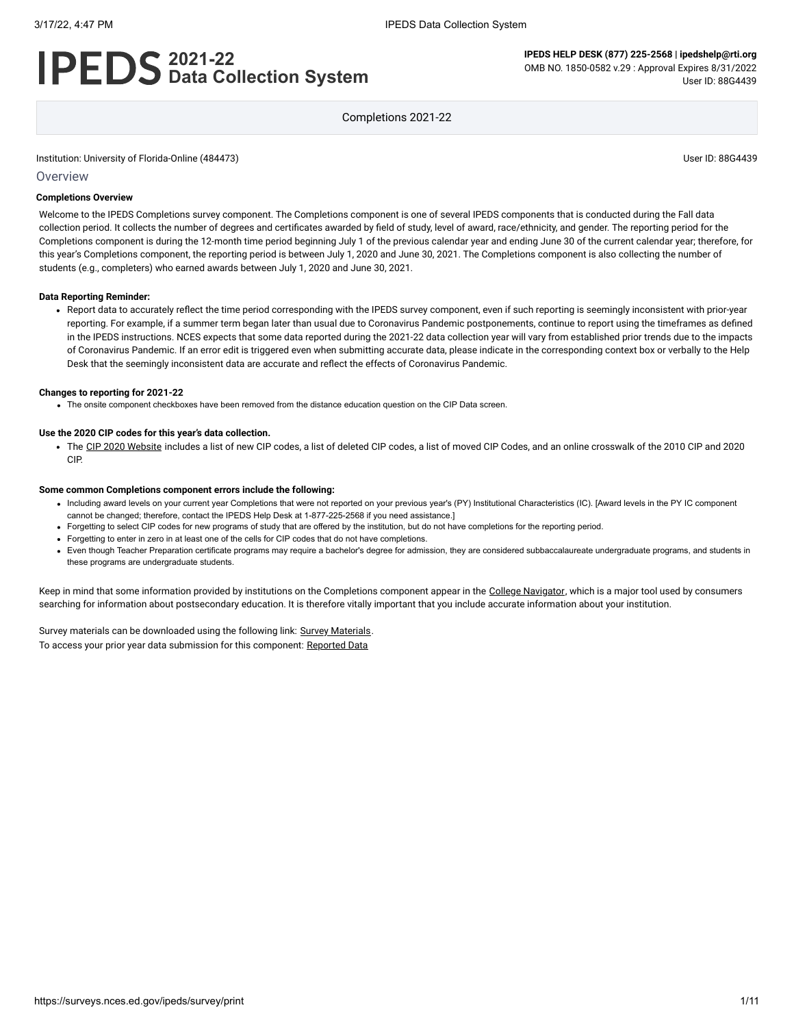# **2021-22 Data Collection System**

**IPEDS HELP DESK (877) 225-2568 | ipedshelp@rti.org** OMB NO. 1850-0582 v.29 : Approval Expires 8/31/2022 User ID: 88G4439

Completions 2021-22

Institution: University of Florida-Online (484473) User ID: 88G4439

#### **Overview**

#### **Completions Overview**

Welcome to the IPEDS Completions survey component. The Completions component is one of several IPEDS components that is conducted during the Fall data collection period. It collects the number of degrees and certificates awarded by field of study, level of award, race/ethnicity, and gender. The reporting period for the Completions component is during the 12-month time period beginning July 1 of the previous calendar year and ending June 30 of the current calendar year; therefore, for this year's Completions component, the reporting period is between July 1, 2020 and June 30, 2021. The Completions component is also collecting the number of students (e.g., completers) who earned awards between July 1, 2020 and June 30, 2021.

#### **Data Reporting Reminder:**

• Report data to accurately reflect the time period corresponding with the IPEDS survey component, even if such reporting is seemingly inconsistent with prior-year reporting. For example, if a summer term began later than usual due to Coronavirus Pandemic postponements, continue to report using the timeframes as defined in the IPEDS instructions. NCES expects that some data reported during the 2021-22 data collection year will vary from established prior trends due to the impacts of Coronavirus Pandemic. If an error edit is triggered even when submitting accurate data, please indicate in the corresponding context box or verbally to the Help Desk that the seemingly inconsistent data are accurate and reflect the effects of Coronavirus Pandemic.

#### **Changes to reporting for 2021-22**

The onsite component checkboxes have been removed from the distance education question on the CIP Data screen.

#### **Use the 2020 CIP codes for this year's data collection.**

• The CIP [2020 Website](https://nces.ed.gov/ipeds/cipcode/Default.aspx?y=56) includes a list of new CIP codes, a list of deleted CIP codes, a list of moved CIP Codes, and an online crosswalk of the 2010 CIP and 2020 CIP.

#### **Some common Completions component errors include the following:**

- Including award levels on your current year Completions that were not reported on your previous year's (PY) Institutional Characteristics (IC). [Award levels in the PY IC component cannot be changed; therefore, contact the IPEDS Help Desk at 1-877-225-2568 if you need assistance.]
- Forgetting to select CIP codes for new programs of study that are offered by the institution, but do not have completions for the reporting period.
- Forgetting to enter in zero in at least one of the cells for CIP codes that do not have completions.
- Even though Teacher Preparation certificate programs may require a bachelor's degree for admission, they are considered subbaccalaureate undergraduate programs, and students in these programs are undergraduate students.

Keep in mind that some information provided by institutions on the Completions component appear in the [College Navigator,](https://nces.ed.gov/collegenavigator/) which is a major tool used by consumers searching for information about postsecondary education. It is therefore vitally important that you include accurate information about your institution.

Survey materials can be downloaded using the following link: Survey [Materials.](https://surveys.nces.ed.gov/ipeds/public/survey-materials/index) To access your prior year data submission for this component: [Reported Data](javascript:openReportedData(484473, 10))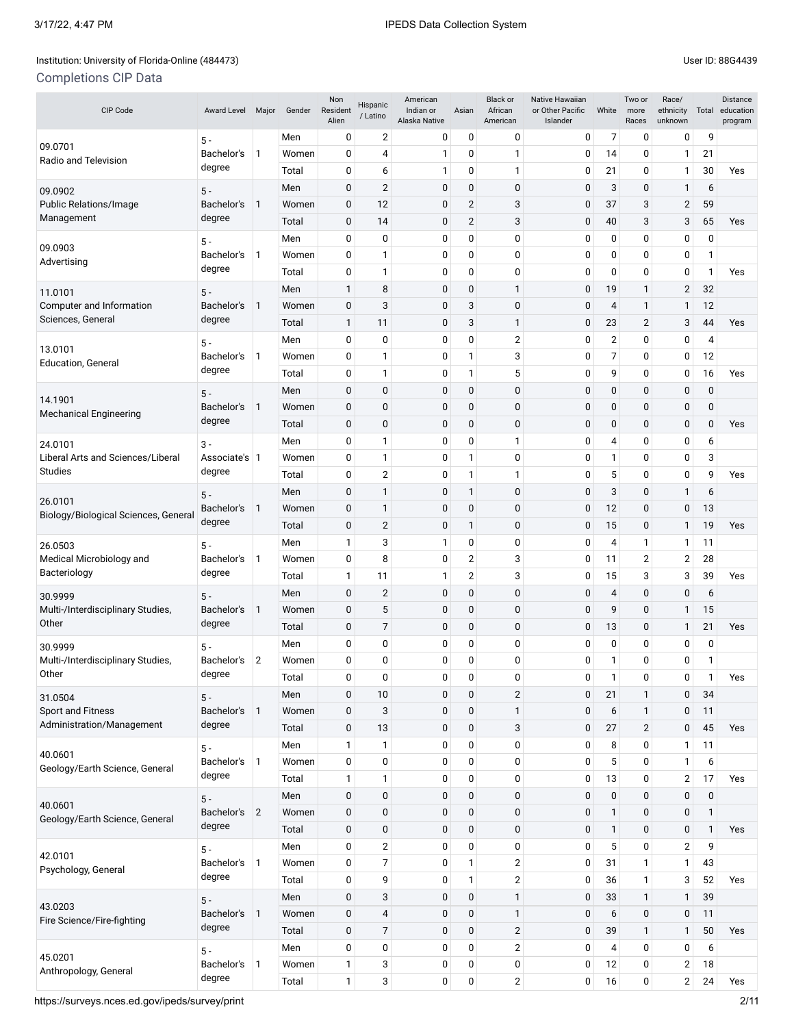# Institution: University of Florida-Online (484473) Channel Assembly District in the User ID: 88G4439

# Completions CIP Data

| CIP Code                                                                | <b>Award Level</b>   | Major        | Gender | Non<br>Resident<br>Alien | Hispanic<br>/ Latino | American<br>Indian or<br>Alaska Native | Asian                   | <b>Black or</b><br>African<br>American | Native Hawaiian<br>or Other Pacific<br>Islander | White          | Two or<br>more<br>Races | Race/<br>ethnicity<br>unknown | Total          | Distance<br>education<br>program |   |   |     |
|-------------------------------------------------------------------------|----------------------|--------------|--------|--------------------------|----------------------|----------------------------------------|-------------------------|----------------------------------------|-------------------------------------------------|----------------|-------------------------|-------------------------------|----------------|----------------------------------|---|---|-----|
|                                                                         | $5 -$                |              | Men    | 0                        | 2                    | 0                                      | 0                       | 0                                      | 0                                               | 7              | 0                       | 0                             | 9              |                                  |   |   |     |
| 09.0701<br>Radio and Television                                         | Bachelor's           | 1            | Women  | 0                        | 4                    | 1                                      | 0                       | 1                                      | 0                                               | 14             | 0                       | 1                             | 21             |                                  |   |   |     |
|                                                                         | degree               |              | Total  | 0                        | 6                    | 1                                      | 0                       | 1                                      | 0                                               | 21             | 0                       | 1                             | 30             | Yes                              |   |   |     |
| 09.0902                                                                 | $5 -$                |              | Men    | 0                        | $\overline{c}$       | 0                                      | 0                       | $\mathbf 0$                            | $\mathbf 0$                                     | 3              | 0                       | 1                             | 6              |                                  |   |   |     |
| Public Relations/Image                                                  | Bachelor's           | $\mathbf{1}$ | Women  | 0                        | 12                   | 0                                      | $\overline{2}$          | 3                                      | 0                                               | 37             | 3                       | 2                             | 59             |                                  |   |   |     |
| Management                                                              | degree               |              | Total  | 0                        | 14                   | 0                                      | $\overline{2}$          | 3                                      | $\mathbf 0$                                     | 40             | 3                       | 3                             | 65             | Yes                              |   |   |     |
|                                                                         | $5 -$                |              | Men    | 0                        | 0                    | 0                                      | 0                       | 0                                      | 0                                               | 0              | 0                       | 0                             | 0              |                                  |   |   |     |
| 09.0903<br>Advertising                                                  | Bachelor's           | 1            | Women  | 0                        | 1                    | 0                                      | 0                       | 0                                      | 0                                               | 0              | $\mathbf{0}$            | 0                             | 1              |                                  |   |   |     |
|                                                                         | degree               |              | Total  | 0                        | 1                    | 0                                      | 0                       | 0                                      | 0                                               | 0              | 0                       | 0                             | $\mathbf{1}$   | Yes                              |   |   |     |
| 11.0101                                                                 | $5 -$                |              | Men    | 1                        | 8                    | 0                                      | 0                       | 1                                      | $\mathbf 0$                                     | 19             | $\mathbf{1}$            | $\overline{2}$                | 32             |                                  |   |   |     |
| Computer and Information                                                | Bachelor's           | $\mathbf{1}$ | Women  | 0                        | 3                    | 0                                      | 3                       | 0                                      | $\mathbf 0$                                     | 4              | $\mathbf{1}$            | $\mathbf{1}$                  | 12             |                                  |   |   |     |
| Sciences, General                                                       | degree               |              | Total  | 1                        | 11                   | 0                                      | 3                       | 1                                      | $\mathbf 0$                                     | 23             | $\overline{2}$          | 3                             | 44             | Yes                              |   |   |     |
|                                                                         | $5 -$                |              | Men    | 0                        | 0                    | 0                                      | 0                       | $\overline{2}$                         | 0                                               | $\overline{2}$ | 0                       | 0                             | 4              |                                  |   |   |     |
| 13.0101<br><b>Education, General</b>                                    | Bachelor's           | 1            | Women  | 0                        | 1                    | 0                                      | 1                       | 3                                      | 0                                               | 7              | 0                       | 0                             | 12             |                                  |   |   |     |
|                                                                         | degree               |              | Total  | 0                        | $\mathbf{1}$         | 0                                      | 1                       | 5                                      | 0                                               | 9              | $\mathbf{0}$            | 0                             | 16             | Yes                              |   |   |     |
|                                                                         | $5 -$                |              | Men    | 0                        | 0                    | 0                                      | 0                       | 0                                      | $\mathbf 0$                                     | 0              | 0                       | $\mathbf 0$                   | $\mathbf 0$    |                                  |   |   |     |
| 14.1901                                                                 | Bachelor's           | $\mathbf{1}$ | Women  | $\pmb{0}$                | $\mathbf 0$          | 0                                      | 0                       | $\mathbf 0$                            | $\mathbf 0$                                     | 0              | $\mathbf 0$             | $\mathbf 0$                   | $\mathbf 0$    |                                  |   |   |     |
| Mechanical Engineering                                                  | degree               |              | Total  | 0                        | $\mathbf 0$          | 0                                      | 0                       | 0                                      | $\mathbf 0$                                     | 0              | $\mathbf{0}$            | $\mathbf{0}$                  | $\mathbf{0}$   | Yes                              |   |   |     |
| 24.0101                                                                 | $3 -$                |              | Men    | 0                        | 1                    | 0                                      | 0                       | 1                                      | 0                                               | 4              | 0                       | 0                             | 6              |                                  |   |   |     |
| Liberal Arts and Sciences/Liberal                                       | Associate's 1        |              | Women  | 0                        | 1                    | 0                                      | 1                       | 0                                      | 0                                               | $\mathbf{1}$   | $\mathbf{0}$            | 0                             | 3              |                                  |   |   |     |
| <b>Studies</b>                                                          | degree               |              |        |                          |                      | Total                                  | 0                       | $\overline{2}$                         | 0                                               | 1              | 1                       | 0                             | 5              | $\mathbf{0}$                     | 0 | 9 | Yes |
|                                                                         | $5 -$                |              | Men    | 0                        | 1                    | 0                                      | 1                       | 0                                      | 0                                               | 3              | $\mathbf{0}$            | 1                             | 6              |                                  |   |   |     |
| 26.0101<br>Bachelor's<br>Biology/Biological Sciences, General<br>degree |                      | 1            | Women  | $\pmb{0}$                | $\mathbf{1}$         | 0                                      | 0                       | $\mathbf 0$                            | $\mathbf 0$                                     | 12             | $\mathbf 0$             | $\mathbf 0$                   | 13             |                                  |   |   |     |
|                                                                         |                      | Total        | 0      | $\overline{2}$           | 0                    | 1                                      | 0                       | $\mathbf 0$                            | 15                                              | 0              | 1                       | 19                            | Yes            |                                  |   |   |     |
| $5 -$<br>26.0503                                                        |                      | Men          | 1      | 3                        | 1                    | 0                                      | 0                       | 0                                      | 4                                               | $\mathbf{1}$   | 1                       | 11                            |                |                                  |   |   |     |
| Medical Microbiology and                                                | Bachelor's<br>degree |              | 1      | Women                    | 0                    | 8                                      | 0                       | $\overline{\mathbf{c}}$                | 3                                               | 0              | 11                      | $\overline{2}$                | $\overline{2}$ | 28                               |   |   |     |
| Bacteriology                                                            |                      |              | Total  | 1                        | 11                   | 1                                      | $\overline{\mathbf{c}}$ | 3                                      | 0                                               | 15             | 3                       | 3                             | 39             | Yes                              |   |   |     |
| 30.9999                                                                 | $5 -$<br>Bachelor's  |              |        | Men                      | 0                    | 2                                      | 0                       | 0                                      | 0                                               | 0              | 4                       | $\mathbf{0}$                  | $\mathbf 0$    | 6                                |   |   |     |
| Multi-/Interdisciplinary Studies,                                       |                      | $\mathbf{1}$ | Women  | 0                        | 5                    | 0                                      | 0                       | $\mathbf 0$                            | $\mathbf 0$                                     | 9              | $\mathbf 0$             | $\mathbf{1}$                  | 15             |                                  |   |   |     |
| Other                                                                   | degree               |              | Total  | $\pmb{0}$                | 7                    | 0                                      | 0                       | $\mathbf 0$                            | $\mathbf 0$                                     | 13             | $\mathbf 0$             | 1                             | 21             | Yes                              |   |   |     |
| 30.9999                                                                 | $5 -$                |              | Men    | 0                        | 0                    | 0                                      | 0                       | 0                                      | 0                                               | 0              | 0                       | 0                             | 0              |                                  |   |   |     |
| Multi-/Interdisciplinary Studies,                                       | Bachelor's           | 2            | Women  | 0                        | 0                    | 0                                      | 0                       | 0                                      | 0                                               | 1              | $\mathbf{0}$            | $\mathbf 0$                   | $\mathbf{1}$   |                                  |   |   |     |
| Other                                                                   | aegree               |              | Total  | 0                        | 0                    | 0                                      | 0                       | 0                                      | 0                                               | 1              | 0                       | 0                             | 1              | Yes                              |   |   |     |
| 31.0504                                                                 | $5 -$                |              | Men    | 0                        | 10                   | 0                                      | 0                       | $\overline{2}$                         | 0                                               | 21             | $\mathbf{1}$            | $\mathbf 0$                   | 34             |                                  |   |   |     |
| Sport and Fitness                                                       | Bachelor's           | $\mathbf{1}$ | Women  | 0                        | 3                    | 0                                      | 0                       | $\mathbf{1}$                           | $\mathbf 0$                                     | 6              | $\mathbf{1}$            | $\pmb{0}$                     | 11             |                                  |   |   |     |
| Administration/Management                                               | degree               |              | Total  | 0                        | 13                   | 0                                      | 0                       | 3                                      | 0                                               | 27             | $\overline{2}$          | $\mathbf 0$                   | 45             | Yes                              |   |   |     |
|                                                                         | $5 -$                |              | Men    | 1                        | 1                    | 0                                      | 0                       | 0                                      | 0                                               | 8              | 0                       | $\mathbf{1}$                  | 11             |                                  |   |   |     |
| 40.0601                                                                 | Bachelor's           | $\mathbf{1}$ | Women  | 0                        | $\pmb{0}$            | 0                                      | 0                       | 0                                      | 0                                               | 5              | 0                       | $\mathbf{1}$                  | 6              |                                  |   |   |     |
| Geology/Earth Science, General                                          | degree               |              | Total  | 1                        | 1                    | 0                                      | 0                       | 0                                      | 0                                               | 13             | 0                       | $\overline{2}$                | 17             | Yes                              |   |   |     |
|                                                                         | $5 -$                |              | Men    | 0                        | $\pmb{0}$            | 0                                      | 0                       | 0                                      | $\pmb{0}$                                       | $\pmb{0}$      | $\mathbf 0$             | $\mathbf 0$                   | $\pmb{0}$      |                                  |   |   |     |
| 40.0601                                                                 | Bachelor's           | 2            | Women  | 0                        | $\mathbf 0$          | 0                                      | 0                       | 0                                      | 0                                               | 1              | $\mathbf 0$             | $\mathbf 0$                   | $\mathbf{1}$   |                                  |   |   |     |
| Geology/Earth Science, General                                          | degree               |              | Total  | 0                        | 0                    | 0                                      | 0                       | 0                                      | 0                                               | 1              | $\mathbf 0$             | $\pmb{0}$                     | 1              | Yes                              |   |   |     |
|                                                                         |                      |              | Men    | 0                        | $\sqrt{2}$           | 0                                      | $\boldsymbol{0}$        | 0                                      | 0                                               | 5              | 0                       | $\sqrt{2}$                    | 9              |                                  |   |   |     |
| 42.0101                                                                 | $5 -$<br>Bachelor's  | $\mathbf{1}$ | Women  | 0                        | 7                    | 0                                      | $\mathbf{1}$            | $\overline{2}$                         | 0                                               | 31             | 1                       | $\mathbf{1}$                  | 43             |                                  |   |   |     |
| Psychology, General                                                     | degree               |              | Total  | 0                        | 9                    | 0                                      | 1                       | $\overline{2}$                         | 0                                               | 36             | $\mathbf{1}$            | 3                             | 52             | Yes                              |   |   |     |
|                                                                         |                      |              | Men    | 0                        | 3                    | 0                                      | $\mathbf 0$             | $\mathbf{1}$                           | 0                                               | 33             | $\mathbf{1}$            | $\mathbf{1}$                  | 39             |                                  |   |   |     |
| 43.0203                                                                 | $5 -$<br>Bachelor's  | $\mathbf{1}$ | Women  | 0                        | 4                    | 0                                      | 0                       | $\mathbf{1}$                           | $\mathbf 0$                                     | 6              | $\mathbf 0$             | $\mathbf 0$                   | 11             |                                  |   |   |     |
| Fire Science/Fire-fighting                                              | degree               |              | Total  | 0                        | $\overline{7}$       | 0                                      | 0                       | $\overline{2}$                         | 0                                               | 39             | $\mathbf{1}$            | $\mathbf{1}$                  | 50             | Yes                              |   |   |     |
|                                                                         |                      |              | Men    | 0                        | $\pmb{0}$            | 0                                      | 0                       | $\overline{2}$                         | 0                                               | 4              | 0                       | 0                             | 6              |                                  |   |   |     |
| 45.0201                                                                 | $5 -$<br>Bachelor's  | $\mathbf{1}$ | Women  | 1                        | 3                    | 0                                      | 0                       | 0                                      | 0                                               | 12             | 0                       | $\overline{2}$                | 18             |                                  |   |   |     |
| Anthropology, General                                                   | degree               |              | Total  | $\mathbf{1}$             | 3                    | 0                                      | 0                       | $\overline{2}$                         | 0                                               | 16             | 0                       | $\overline{2}$                | 24             | Yes                              |   |   |     |
|                                                                         |                      |              |        |                          |                      |                                        |                         |                                        |                                                 |                |                         |                               |                |                                  |   |   |     |

https://surveys.nces.ed.gov/ipeds/survey/print 2/11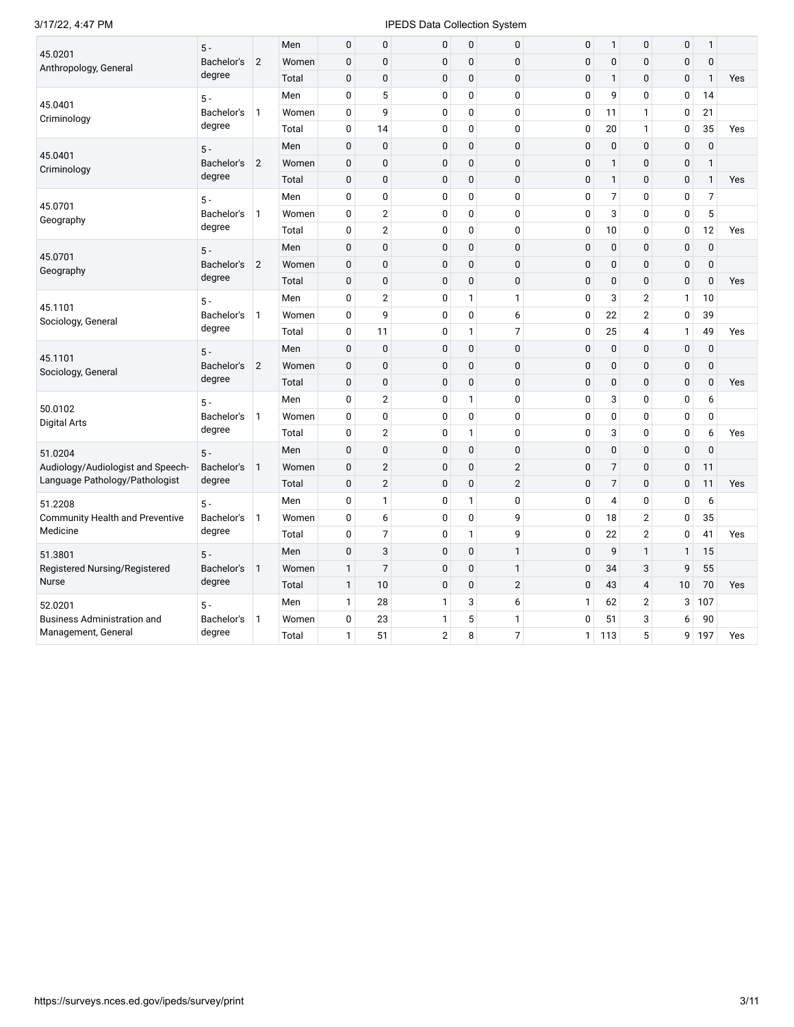## 3/17/22, 4:47 PM **IPEDS** Data Collection System

|                                        | $5 -$                         |                | Men   | 0            | 0              | 0              | 0              | 0              | 0            | 1            | 0              | 0            | 1              |     |
|----------------------------------------|-------------------------------|----------------|-------|--------------|----------------|----------------|----------------|----------------|--------------|--------------|----------------|--------------|----------------|-----|
| 45.0201<br>Anthropology, General       | Bachelor's                    | $\overline{2}$ | Women | $\mathbf 0$  | $\mathbf 0$    | 0              | $\pmb{0}$      | $\mathbf 0$    | $\mathbf{0}$ | $\mathbf{0}$ | $\mathbf{0}$   | $\mathbf{0}$ | $\mathbf{0}$   |     |
|                                        | degree                        |                | Total | $\pmb{0}$    | $\pmb{0}$      | 0              | $\mathbf 0$    | $\pmb{0}$      | $\mathbf 0$  | $\mathbf{1}$ | $\mathbf 0$    | $\mathbf 0$  | $\mathbf{1}$   | Yes |
| 45.0401                                | $5 -$                         |                | Men   | 0            | 5              | 0              | $\mathbf 0$    | $\mathbf 0$    | $\mathbf 0$  | 9            | 0              | 0            | 14             |     |
| Criminology                            | Bachelor's                    | $\mathbf{1}$   | Women | 0            | 9              | 0              | 0              | 0              | $\mathbf 0$  | 11           | $\mathbf{1}$   | $\mathbf{0}$ | 21             |     |
|                                        | degree                        |                | Total | 0            | 14             | 0              | $\mathbf 0$    | 0              | $\pmb{0}$    | 20           | $\mathbf{1}$   | $\mathbf 0$  | 35             | Yes |
| 45.0401                                | $5 -$                         |                | Men   | 0            | $\mathbf 0$    | 0              | $\mathbf 0$    | 0              | $\mathbf 0$  | $\mathbf{0}$ | $\mathbf{0}$   | $\mathbf 0$  | $\pmb{0}$      |     |
| Criminology                            | Bachelor's                    | 2              | Women | 0            | $\mathbf 0$    | 0              | $\mathbf 0$    | 0              | $\mathbf 0$  | 1            | $\mathbf{0}$   | $\mathbf 0$  | 1              |     |
|                                        | degree                        |                | Total | 0            | $\mathbf 0$    | 0              | $\mathbf 0$    | $\mathbf 0$    | $\mathbf{0}$ | $\mathbf{1}$ | $\mathbf{0}$   | $\mathbf{0}$ | $\mathbf{1}$   | Yes |
| 45.0701                                | $5 -$                         |                | Men   | 0            | $\bf{0}$       | 0              | 0              | 0              | 0            | 7            | 0              | 0            | $\overline{7}$ |     |
| Geography                              | Bachelor's                    | $\mathbf{1}$   | Women | 0            | $\overline{2}$ | $\pmb{0}$      | $\overline{0}$ | 0              | $\mathbf{0}$ | 3            | $\mathbf 0$    | $\mathbf 0$  | 5              |     |
|                                        | degree                        |                | Total | 0            | $\overline{2}$ | 0              | 0              | 0              | 0            | 10           | 0              | 0            | 12             | Yes |
| 45.0701                                | $5 -$                         |                | Men   | 0            | $\pmb{0}$      | $\pmb{0}$      | $\mathbf 0$    | $\mathbf 0$    | $\mathbf 0$  | $\pmb{0}$    | $\pmb{0}$      | $\mathbf 0$  | $\pmb{0}$      |     |
| Geography                              | Bachelor's                    | 2              | Women | 0            | $\pmb{0}$      | $\pmb{0}$      | $\mathbf 0$    | $\mathbf 0$    | $\mathbf 0$  | 0            | $\pmb{0}$      | $\mathbf 0$  | $\pmb{0}$      |     |
|                                        | degree                        |                | Total | $\pmb{0}$    | $\pmb{0}$      | 0              | $\mathbf 0$    | $\overline{0}$ | $\mathbf 0$  | 0            | $\mathbf{0}$   | $\mathbf 0$  | $\mathbf 0$    | Yes |
| 45.1101                                | $5 -$<br>Bachelor's<br>degree |                | Men   | 0            | $\overline{2}$ | 0              | $\mathbf{1}$   | $\mathbf{1}$   | $\mathbf 0$  | 3            | $\overline{2}$ | $\mathbf{1}$ | 10             |     |
| Sociology, General                     |                               | $\vert$ 1      | Women | 0            | 9              | 0              | $\mathbf 0$    | 6              | $\mathbf 0$  | 22           | $\overline{2}$ | $\mathbf 0$  | 39             |     |
|                                        |                               |                | Total | 0            | 11             | 0              | $\mathbf{1}$   | $\overline{7}$ | $\pmb{0}$    | 25           | $\overline{4}$ | $\mathbf{1}$ | 49             | Yes |
| $5 -$<br>45.1101                       |                               |                | Men   | $\mathbf 0$  | $\mathbf 0$    | 0              | $\mathbf 0$    | $\mathbf 0$    | $\mathbf 0$  | $\mathbf{0}$ | $\mathbf{0}$   | $\mathbf 0$  | $\mathbf{0}$   |     |
| Sociology, General                     | Bachelor's                    | $\overline{2}$ | Women | 0            | $\mathbf 0$    | 0              | $\mathbf 0$    | $\mathbf 0$    | $\mathbf 0$  | 0            | $\pmb{0}$      | $\mathbf 0$  | $\pmb{0}$      |     |
|                                        | degree                        |                | Total | 0            | $\pmb{0}$      | 0              | $\mathbf 0$    | $\mathbf 0$    | $\mathbf 0$  | 0            | $\mathbf 0$    | $\mathbf{0}$ | $\mathbf{0}$   | Yes |
| 50.0102                                | $5 -$                         |                | Men   | 0            | $\overline{2}$ | $\pmb{0}$      | $\mathbf{1}$   | 0              | $\mathbf 0$  | 3            | $\mathbf 0$    | $\mathbf 0$  | 6              |     |
| <b>Digital Arts</b>                    | Bachelor's                    | $\mathbf{1}$   | Women | 0            | $\mathbf 0$    | 0              | 0              | 0              | $\mathbf 0$  | 0            | 0              | $\mathbf{0}$ | $\mathbf 0$    |     |
|                                        | degree                        |                | Total | 0            | $\overline{2}$ | 0              | $\mathbf{1}$   | 0              | $\mathbf 0$  | 3            | 0              | 0            | 6              | Yes |
| 51.0204                                | $5 -$                         |                | Men   | $\pmb{0}$    | $\pmb{0}$      | 0              | $\mathbf 0$    | $\mathbf 0$    | $\mathbf 0$  | 0            | $\mathbf{0}$   | $\mathbf 0$  | $\pmb{0}$      |     |
| Audiology/Audiologist and Speech-      | Bachelor's                    | $\overline{1}$ | Women | $\mathbf 0$  | 2              | 0              | $\mathbf 0$    | $\overline{2}$ | $\mathbf{0}$ | 7            | $\mathbf{0}$   | $\mathbf{0}$ | 11             |     |
| Language Pathology/Pathologist         | degree                        |                | Total | $\pmb{0}$    | $\overline{2}$ | 0              | $\mathbf 0$    | $\overline{2}$ | $\mathbf 0$  | 7            | $\pmb{0}$      | $\mathbf 0$  | 11             | Yes |
| 51.2208                                | $5 -$                         |                | Men   | 0            | $\mathbf{1}$   | 0              | $\mathbf{1}$   | 0              | 0            | 4            | 0              | 0            | 6              |     |
| <b>Community Health and Preventive</b> | Bachelor's                    | $\mathbf{1}$   | Women | 0            | 6              | 0              | $\mathbf 0$    | 9              | $\pmb{0}$    | 18           | $\overline{2}$ | $\mathbf 0$  | 35             |     |
| Medicine                               | degree                        |                | Total | 0            | $\overline{7}$ | 0              | $\mathbf{1}$   | 9              | 0            | 22           | $\overline{2}$ | $\mathbf{0}$ | 41             | Yes |
| 51.3801                                | $5 -$                         |                | Men   | 0            | 3              | 0              | $\mathbf 0$    | $\mathbf{1}$   | $\mathbf 0$  | 9            | $\mathbf{1}$   | $\mathbf{1}$ | 15             |     |
| Registered Nursing/Registered          | Bachelor's                    | $\overline{1}$ | Women | $\mathbf{1}$ | $\overline{7}$ | 0              | $\mathbf 0$    | $\mathbf{1}$   | $\mathbf 0$  | 34           | 3              | 9            | 55             |     |
| Nurse                                  | degree                        |                | Total | $\mathbf{1}$ | 10             | 0              | $\mathbf 0$    | $\overline{2}$ | $\mathbf 0$  | 43           | $\overline{4}$ | 10           | 70             | Yes |
| 52.0201                                | $5 -$                         |                | Men   | 1            | 28             | 1              | 3              | 6              | $\mathbf{1}$ | 62           | $\overline{2}$ | 3            | 107            |     |
| <b>Business Administration and</b>     | Bachelor's                    | $\mathbf{1}$   | Women | 0            | 23             | 1              | 5              | 1              | $\mathbf 0$  | 51           | 3              | 6            | 90             |     |
| Management, General                    | degree                        |                | Total | $\mathbf{1}$ | 51             | $\overline{2}$ | 8              | $\overline{7}$ | $\mathbf{1}$ | 113          | 5              | 9            | 197            | Yes |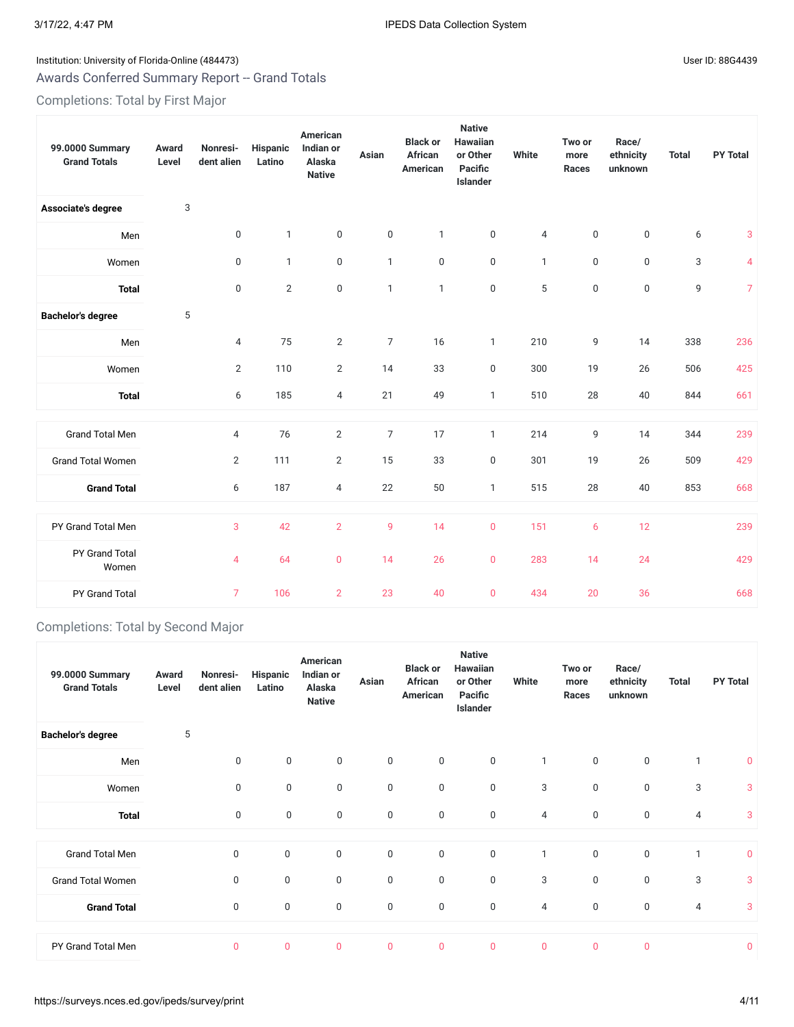# Institution: University of Florida-Online (484473) Channel Assembly District in the User ID: 88G4439 Awards Conferred Summary Report -- Grand Totals

Completions: Total by First Major

| 99.0000 Summary<br><b>Grand Totals</b> | Award<br>Level | Nonresi-<br>dent alien | <b>Hispanic</b><br>Latino | American<br>Indian or<br>Alaska<br><b>Native</b> | Asian          | <b>Black or</b><br>African<br>American | <b>Native</b><br><b>Hawaiian</b><br>or Other<br>Pacific<br>Islander | White          | Two or<br>more<br>Races | Race/<br>ethnicity<br>unknown | <b>Total</b> | <b>PY Total</b> |
|----------------------------------------|----------------|------------------------|---------------------------|--------------------------------------------------|----------------|----------------------------------------|---------------------------------------------------------------------|----------------|-------------------------|-------------------------------|--------------|-----------------|
| Associate's degree                     | 3              |                        |                           |                                                  |                |                                        |                                                                     |                |                         |                               |              |                 |
| Men                                    |                | $\mathbf 0$            | $\mathbf{1}$              | $\mathbf 0$                                      | $\mathbf 0$    | $\mathbf{1}$                           | $\boldsymbol{0}$                                                    | $\overline{4}$ | 0                       | $\mathbf 0$                   | 6            | 3               |
| Women                                  |                | 0                      | $\mathbf{1}$              | $\mathbf 0$                                      | $\mathbf{1}$   | $\boldsymbol{0}$                       | $\boldsymbol{0}$                                                    | $\mathbf{1}$   | 0                       | $\mathbf 0$                   | 3            | $\overline{4}$  |
| <b>Total</b>                           |                | 0                      | $\overline{2}$            | $\boldsymbol{0}$                                 | $\mathbf{1}$   | $\mathbf{1}$                           | $\boldsymbol{0}$                                                    | 5              | 0                       | 0                             | 9            | $\overline{7}$  |
| <b>Bachelor's degree</b>               | 5              |                        |                           |                                                  |                |                                        |                                                                     |                |                         |                               |              |                 |
| Men                                    |                | 4                      | 75                        | $\mathbf{2}$                                     | $\overline{7}$ | 16                                     | $\mathbf{1}$                                                        | 210            | 9                       | 14                            | 338          | 236             |
| Women                                  |                | $\overline{2}$         | 110                       | 2                                                | 14             | 33                                     | $\pmb{0}$                                                           | 300            | 19                      | 26                            | 506          | 425             |
| <b>Total</b>                           |                | 6                      | 185                       | $\overline{4}$                                   | 21             | 49                                     | $\mathbf{1}$                                                        | 510            | 28                      | 40                            | 844          | 661             |
| <b>Grand Total Men</b>                 |                | 4                      | 76                        | $\sqrt{2}$                                       | $\overline{7}$ | 17                                     | $\mathbf{1}$                                                        | 214            | 9                       | 14                            | 344          | 239             |
| <b>Grand Total Women</b>               |                | $\overline{2}$         | 111                       | $\overline{2}$                                   | 15             | 33                                     | $\mathsf 0$                                                         | 301            | 19                      | 26                            | 509          | 429             |
| <b>Grand Total</b>                     |                | 6                      | 187                       | $\overline{4}$                                   | 22             | 50                                     | $\mathbf{1}$                                                        | 515            | 28                      | 40                            | 853          | 668             |
| PY Grand Total Men                     |                | 3                      | 42                        | $\overline{2}$                                   | 9              | 14                                     | $\mathbf{0}$                                                        | 151            | 6                       | 12                            |              | 239             |
| PY Grand Total<br>Women                |                | 4                      | 64                        | $\pmb{0}$                                        | 14             | 26                                     | $\mathbf 0$                                                         | 283            | 14                      | 24                            |              | 429             |
| PY Grand Total                         |                | $\overline{7}$         | 106                       | $\overline{2}$                                   | 23             | 40                                     | $\mathbf{0}$                                                        | 434            | 20                      | 36                            |              | 668             |

# Completions: Total by Second Major

| 99.0000 Summary<br><b>Grand Totals</b> | Award<br>Level | Nonresi-<br>dent alien | Hispanic<br>Latino | American<br>Indian or<br>Alaska<br><b>Native</b> | Asian        | <b>Black or</b><br><b>African</b><br>American | <b>Native</b><br>Hawaiian<br>or Other<br>Pacific<br><b>Islander</b> | White          | Two or<br>more<br>Races | Race/<br>ethnicity<br>unknown | <b>Total</b> | <b>PY Total</b> |
|----------------------------------------|----------------|------------------------|--------------------|--------------------------------------------------|--------------|-----------------------------------------------|---------------------------------------------------------------------|----------------|-------------------------|-------------------------------|--------------|-----------------|
| <b>Bachelor's degree</b>               | 5              |                        |                    |                                                  |              |                                               |                                                                     |                |                         |                               |              |                 |
| Men                                    |                | 0                      | $\mathbf 0$        | $\mathbf 0$                                      | $\mathbf 0$  | $\mathbf 0$                                   | $\mathsf 0$                                                         | $\mathbf{1}$   | 0                       | $\mathbf 0$                   | $\mathbf{1}$ | $\mathbf 0$     |
| Women                                  |                | $\mathbf 0$            | $\mathbf 0$        | $\mathbf 0$                                      | $\mathbf 0$  | $\mathbf 0$                                   | $\mathsf 0$                                                         | 3              | 0                       | $\mathbf 0$                   | 3            | 3               |
| <b>Total</b>                           |                | $\mathbf 0$            | $\mathbf 0$        | $\mathbf 0$                                      | $\mathbf 0$  | $\mathbf 0$                                   | $\mathbf 0$                                                         | 4              | 0                       | $\mathbf 0$                   | 4            | 3               |
|                                        |                |                        |                    |                                                  |              |                                               |                                                                     |                |                         |                               |              |                 |
| <b>Grand Total Men</b>                 |                | 0                      | $\boldsymbol{0}$   | $\boldsymbol{0}$                                 | $\mathsf 0$  | $\mathbf 0$                                   | $\mathsf 0$                                                         | $\mathbf{1}$   | 0                       | $\boldsymbol{0}$              | $\mathbf{1}$ | $\mathbf 0$     |
| <b>Grand Total Women</b>               |                | $\mathbf 0$            | $\mathbf 0$        | $\mathsf 0$                                      | $\mathbf 0$  | $\mathbf 0$                                   | $\mathsf 0$                                                         | 3              | 0                       | $\mathbf 0$                   | 3            | 3               |
| <b>Grand Total</b>                     |                | $\mathbf 0$            | $\mathbf 0$        | $\mathbf 0$                                      | $\mathbf 0$  | $\mathbf 0$                                   | $\mathbf 0$                                                         | 4              | 0                       | $\mathbf 0$                   | 4            | 3               |
|                                        |                |                        |                    |                                                  |              |                                               |                                                                     |                |                         |                               |              |                 |
| PY Grand Total Men                     |                | $\overline{0}$         | $\mathbf 0$        | $\overline{0}$                                   | $\mathbf{0}$ | $\mathbf 0$                                   | $\mathbf{0}$                                                        | $\overline{0}$ | $\overline{0}$          | $\mathbf{0}$                  |              | $\overline{0}$  |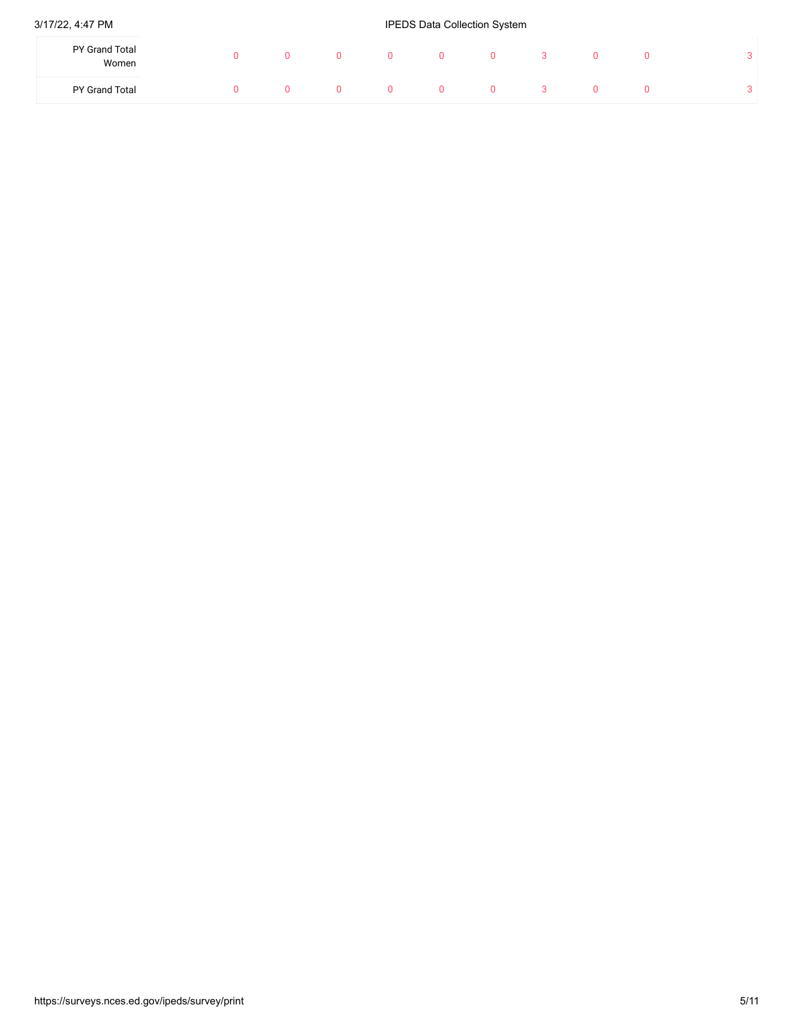## 3/17/22, 4:47 PM **IPEDS** Data Collection System

| PY Grand Total<br>Women |  |  | 0  | ഄ |  | $\Omega$<br>◡ |
|-------------------------|--|--|----|---|--|---------------|
| PY Grand Total          |  |  | 0. |   |  | $\sim$<br>◡   |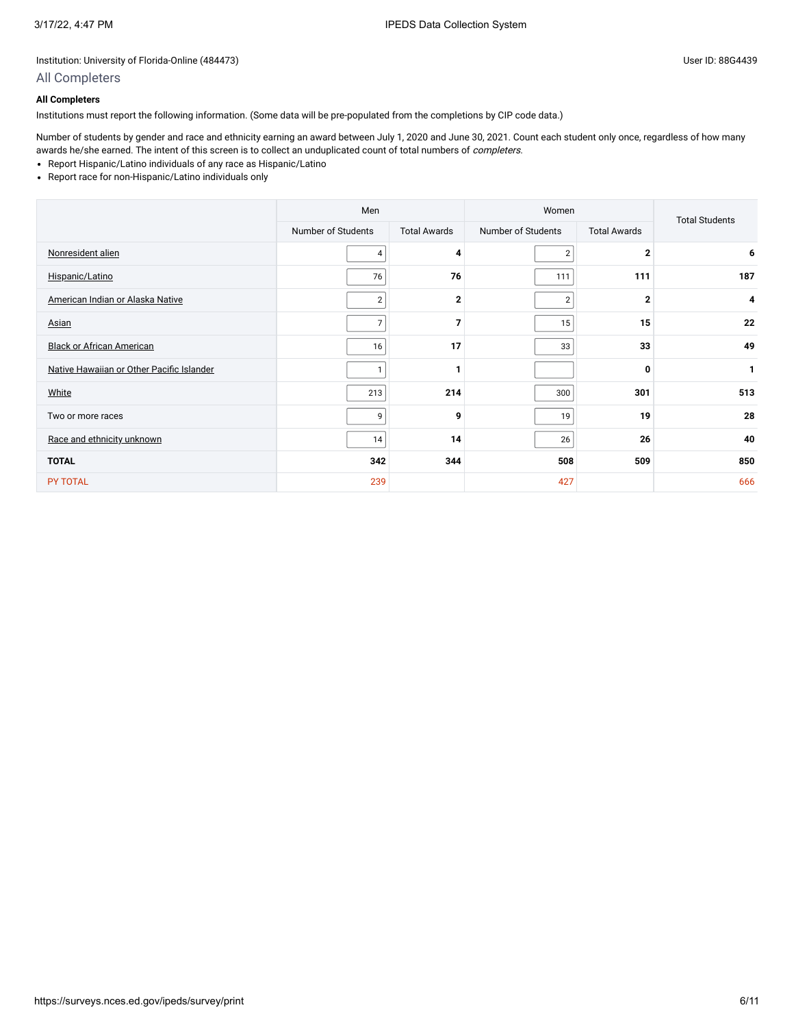# All Completers

## **All Completers**

Institutions must report the following information. (Some data will be pre-populated from the completions by CIP code data.)

Number of students by gender and race and ethnicity earning an award between July 1, 2020 and June 30, 2021. Count each student only once, regardless of how many awards he/she earned. The intent of this screen is to collect an unduplicated count of total numbers of *completers*.

- Report Hispanic/Latino individuals of any race as Hispanic/Latino
- Report race for non-Hispanic/Latino individuals only

|                                           | Men                |                     | Women              |                     | <b>Total Students</b> |
|-------------------------------------------|--------------------|---------------------|--------------------|---------------------|-----------------------|
|                                           | Number of Students | <b>Total Awards</b> | Number of Students | <b>Total Awards</b> |                       |
| Nonresident alien                         | 4                  | 4                   | $\overline{2}$     | $\overline{2}$      | 6                     |
| Hispanic/Latino                           | 76                 | 76                  | 111                | 111                 | 187                   |
| American Indian or Alaska Native          | $\overline{2}$     | $\mathbf{2}$        | $\overline{2}$     | $\mathbf{2}$        | 4                     |
| Asian                                     | $\overline{7}$     | $\overline{7}$      | 15                 | 15                  | 22                    |
| <b>Black or African American</b>          | 16                 | 17                  | 33                 | 33                  | 49                    |
| Native Hawaiian or Other Pacific Islander | 1                  | 1                   |                    | 0                   | 1                     |
| White                                     | 213                | 214                 | 300                | 301                 | 513                   |
| Two or more races                         | 9                  | 9                   | 19                 | 19                  | 28                    |
| Race and ethnicity unknown                | 14                 | 14                  | 26                 | 26                  | 40                    |
| <b>TOTAL</b>                              | 342                | 344                 | 508                | 509                 | 850                   |
| <b>PY TOTAL</b>                           | 239                |                     | 427                |                     | 666                   |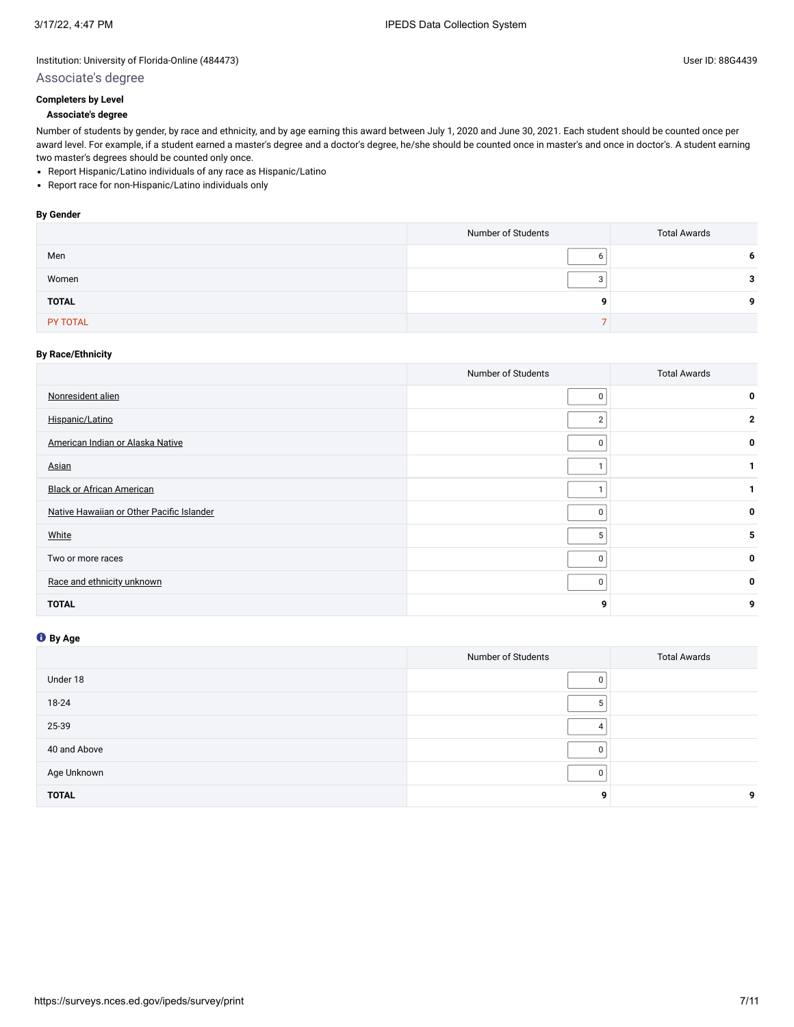# Associate's degree

# **Completers by Level**

**Associate's degree**

Number of students by gender, by race and ethnicity, and by age earning this award between July 1, 2020 and June 30, 2021. Each student should be counted once per award level. For example, if a student earned a master's degree and a doctor's degree, he/she should be counted once in master's and once in doctor's. A student earning two master's degrees should be counted only once.

- Report Hispanic/Latino individuals of any race as Hispanic/Latino
- Report race for non-Hispanic/Latino individuals only

#### **By Gender**

|              | Number of Students | <b>Total Awards</b> |
|--------------|--------------------|---------------------|
| Men          |                    | 6                   |
| Women        |                    | 2                   |
| <b>TOTAL</b> | ۰Q                 | a                   |
| PY TOTAL     |                    |                     |

### **By Race/Ethnicity**

|                                           | Number of Students | <b>Total Awards</b> |
|-------------------------------------------|--------------------|---------------------|
| Nonresident alien                         | 0                  | 0                   |
| Hispanic/Latino                           | $\overline{2}$     | $\mathbf{2}$        |
| American Indian or Alaska Native          | 0                  | 0                   |
| Asian                                     |                    |                     |
| <b>Black or African American</b>          |                    |                     |
| Native Hawaiian or Other Pacific Islander | 0                  | 0                   |
| White                                     | 5                  | 5                   |
| Two or more races                         | 0                  | 0                   |
| Race and ethnicity unknown                | 0                  | 0                   |
| <b>TOTAL</b>                              | 9                  | 9                   |

# **By Age**

|              | Number of Students | <b>Total Awards</b> |
|--------------|--------------------|---------------------|
| Under 18     |                    |                     |
| 18-24        |                    |                     |
| 25-39        |                    |                     |
| 40 and Above |                    |                     |
| Age Unknown  |                    |                     |
| <b>TOTAL</b> | a                  | 9                   |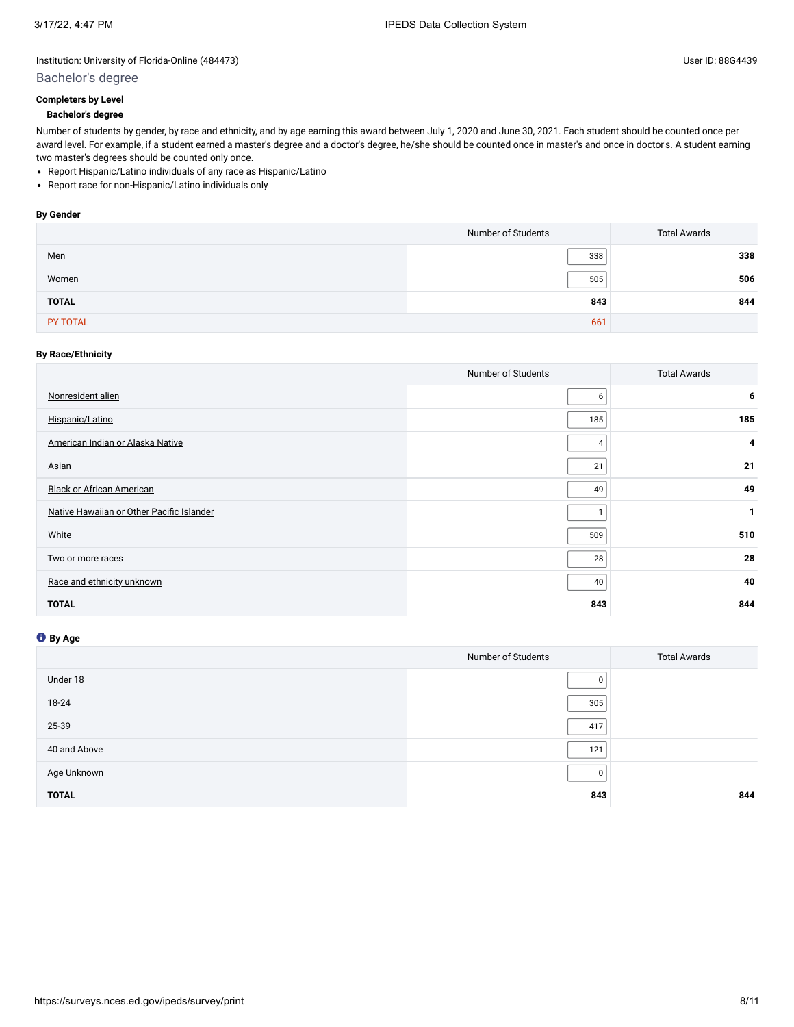### Bachelor's degree

#### **Bachelor's degree**

Number of students by gender, by race and ethnicity, and by age earning this award between July 1, 2020 and June 30, 2021. Each student should be counted once per award level. For example, if a student earned a master's degree and a doctor's degree, he/she should be counted once in master's and once in doctor's. A student earning two master's degrees should be counted only once.

- Report Hispanic/Latino individuals of any race as Hispanic/Latino
- Report race for non-Hispanic/Latino individuals only

#### **By Gender**

|              | Number of Students | <b>Total Awards</b> |
|--------------|--------------------|---------------------|
| Men          | 338                | 338                 |
| Women        | 505                | 506                 |
| <b>TOTAL</b> | 843                | 844                 |
| PY TOTAL     | 661                |                     |

### **By Race/Ethnicity**

|                                           | Number of Students | <b>Total Awards</b> |
|-------------------------------------------|--------------------|---------------------|
| Nonresident alien                         | 6                  | 6                   |
| Hispanic/Latino                           | 185                | 185                 |
| American Indian or Alaska Native          |                    | 4                   |
| Asian                                     | 21                 | 21                  |
| <b>Black or African American</b>          | 49                 | 49                  |
| Native Hawaiian or Other Pacific Islander |                    | 1                   |
| White                                     | 509                | 510                 |
| Two or more races                         | 28                 | 28                  |
| Race and ethnicity unknown                | 40                 | 40                  |
| <b>TOTAL</b>                              | 843                | 844                 |

# **By Age**

|              | Number of Students | <b>Total Awards</b> |
|--------------|--------------------|---------------------|
| Under 18     | 0                  |                     |
| 18-24        | 305                |                     |
| 25-39        | 417                |                     |
| 40 and Above | 121                |                     |
| Age Unknown  | 0                  |                     |
| <b>TOTAL</b> | 843                | 844                 |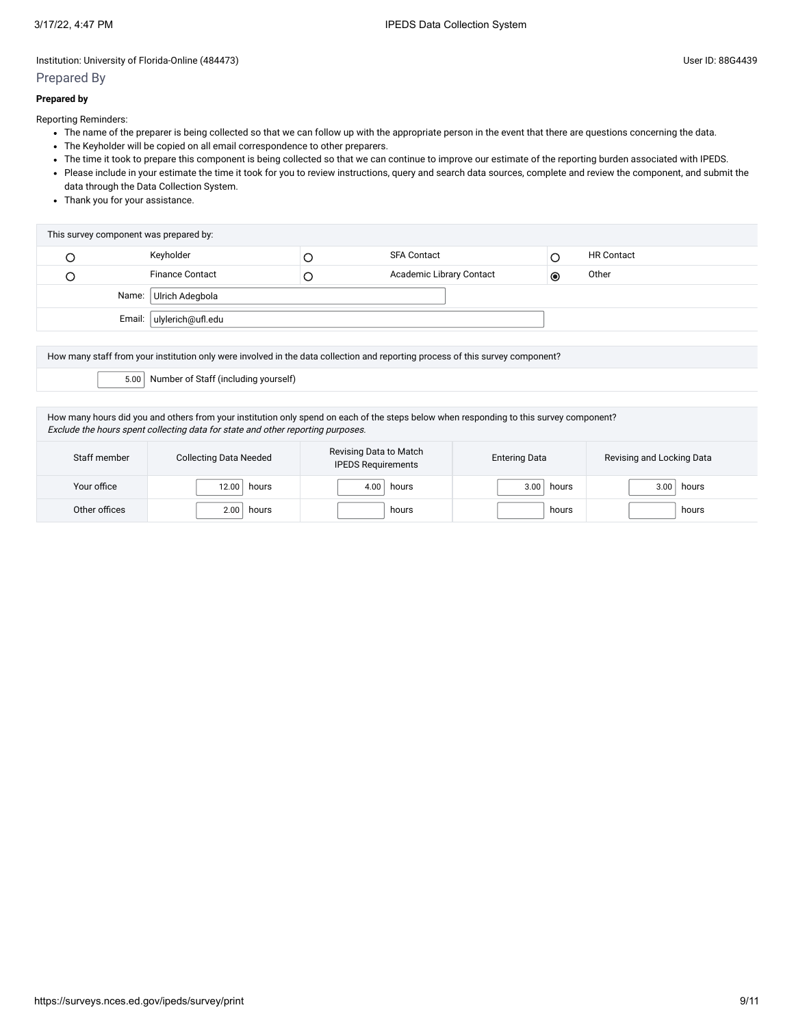### Prepared By

#### **Prepared by**

Reporting Reminders:

- The name of the preparer is being collected so that we can follow up with the appropriate person in the event that there are questions concerning the data.
- The Keyholder will be copied on all email correspondence to other preparers.
- The time it took to prepare this component is being collected so that we can continue to improve our estimate of the reporting burden associated with IPEDS.
- Please include in your estimate the time it took for you to review instructions, query and search data sources, complete and review the component, and submit the data through the Data Collection System.
- Thank you for your assistance.

| This survey component was prepared by: |                          |   |                          |           |                   |  |
|----------------------------------------|--------------------------|---|--------------------------|-----------|-------------------|--|
|                                        | Keyholder                |   | <b>SFA Contact</b>       |           | <b>HR Contact</b> |  |
|                                        | <b>Finance Contact</b>   | Ć | Academic Library Contact | $\bullet$ | Other             |  |
| Name: Ulrich Adegbola                  |                          |   |                          |           |                   |  |
|                                        | Email: ulylerich@ufl.edu |   |                          |           |                   |  |

How many staff from your institution only were involved in the data collection and reporting process of this survey component? 5.00 Number of Staff (including yourself)

How many hours did you and others from your institution only spend on each of the steps below when responding to this survey component? Exclude the hours spent collecting data for state and other reporting purposes.

| Staff member  | <b>Collecting Data Needed</b> | Revising Data to Match<br><b>IPEDS Requirements</b> | <b>Entering Data</b> | Revising and Locking Data  |
|---------------|-------------------------------|-----------------------------------------------------|----------------------|----------------------------|
| Your office   | 12.00<br>hours                | 4.00<br>hours                                       | 3.00<br>hours        | 3.00 <sub>1</sub><br>hours |
| Other offices | 2.00<br>hours                 | hours                                               | hours                | hours                      |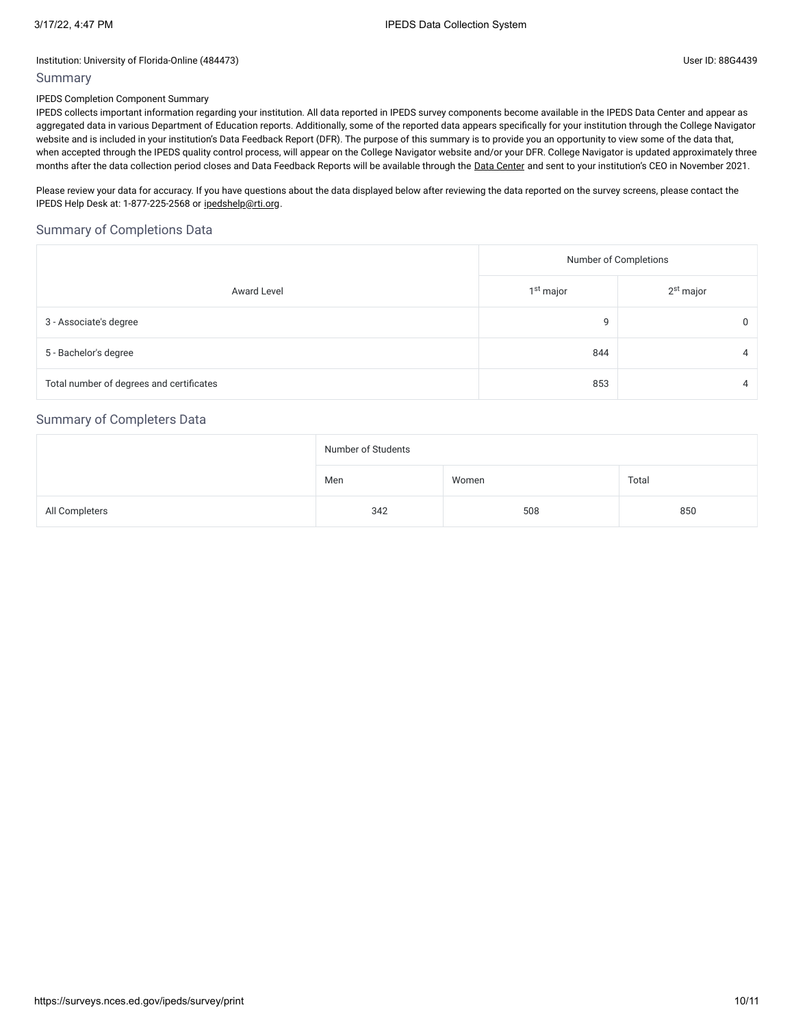### Summary

#### IPEDS Completion Component Summary

IPEDS collects important information regarding your institution. All data reported in IPEDS survey components become available in the IPEDS Data Center and appear as aggregated data in various Department of Education reports. Additionally, some of the reported data appears specifically for your institution through the College Navigator website and is included in your institution's Data Feedback Report (DFR). The purpose of this summary is to provide you an opportunity to view some of the data that, when accepted through the IPEDS quality control process, will appear on the College Navigator website and/or your DFR. College Navigator is updated approximately three months after the data collection period closes and Data Feedback Reports will be available through the Data [Center](https://nces.ed.gov/ipeds/use-the-data) and sent to your institution's CEO in November 2021.

Please review your data for accuracy. If you have questions about the data displayed below after reviewing the data reported on the survey screens, please contact the IPEDS Help Desk at: 1-877-225-2568 or [ipedshelp@rti.org.](mailto:ipedshelp@rti.org)

# Summary of Completions Data

|                                          | Number of Completions |                       |  |  |
|------------------------------------------|-----------------------|-----------------------|--|--|
| <b>Award Level</b>                       | 1 <sup>st</sup> major | 2 <sup>st</sup> major |  |  |
| 3 - Associate's degree                   | 9                     | 0                     |  |  |
| 5 - Bachelor's degree                    | 844                   | 4                     |  |  |
| Total number of degrees and certificates | 853                   | 4                     |  |  |

# Summary of Completers Data

|                | Number of Students |       |       |  |  |
|----------------|--------------------|-------|-------|--|--|
|                | Men                | Women | Total |  |  |
| All Completers | 342                | 508   | 850   |  |  |